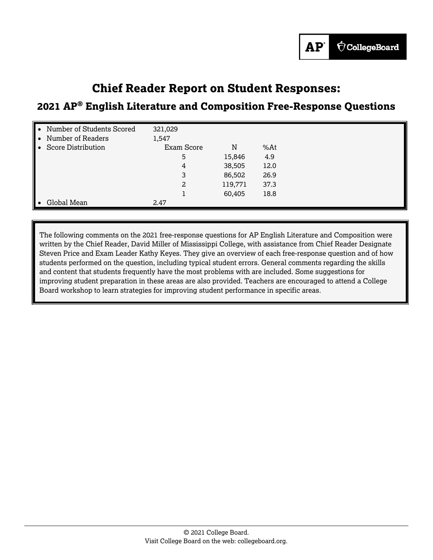# **Chief Reader Report on Student Responses:**

## **2021 AP® English Literature and Composition Free-Response Questions**

| Number of Students Scored<br>Number of Readers | 321,029<br>1,547 |         |      |  |
|------------------------------------------------|------------------|---------|------|--|
| <b>Score Distribution</b>                      | Exam Score       | N       | %At  |  |
|                                                | 5                | 15,846  | 4.9  |  |
|                                                | 4                | 38,505  | 12.0 |  |
|                                                | 3                | 86,502  | 26.9 |  |
|                                                | 2                | 119,771 | 37.3 |  |
|                                                |                  | 60,405  | 18.8 |  |
| Global Mean                                    | 2.47             |         |      |  |

The following comments on the 2021 free-response questions for AP English Literature and Composition were written by the Chief Reader, David Miller of Mississippi College, with assistance from Chief Reader Designate Steven Price and Exam Leader Kathy Keyes. They give an overview of each free-response question and of how students performed on the question, including typical student errors. General comments regarding the skills and content that students frequently have the most problems with are included. Some suggestions for improving student preparation in these areas are also provided. Teachers are encouraged to attend a College Board workshop to learn strategies for improving student performance in specific areas.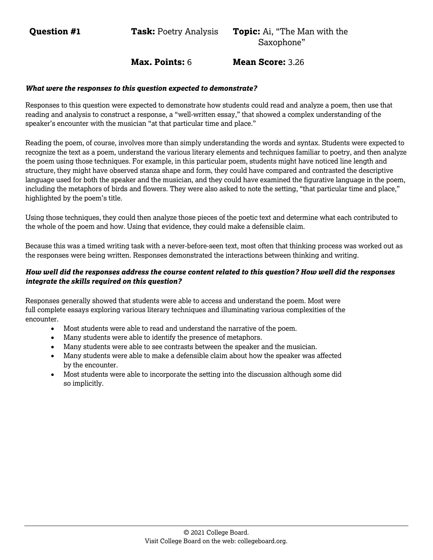**Question #1 Task:** Poetry Analysis **Topic:** Ai, "The Man with the

Saxophone"

## **Max. Points:** 6 **Mean Score:** 3.26

#### *What were the responses to this question expected to demonstrate?*

Responses to this question were expected to demonstrate how students could read and analyze a poem, then use that reading and analysis to construct a response, a "well-written essay," that showed a complex understanding of the speaker's encounter with the musician "at that particular time and place."

Reading the poem, of course, involves more than simply understanding the words and syntax. Students were expected to recognize the text as a poem, understand the various literary elements and techniques familiar to poetry, and then analyze the poem using those techniques. For example, in this particular poem, students might have noticed line length and structure, they might have observed stanza shape and form, they could have compared and contrasted the descriptive language used for both the speaker and the musician, and they could have examined the figurative language in the poem, including the metaphors of birds and flowers. They were also asked to note the setting, "that particular time and place," highlighted by the poem's title.

Using those techniques, they could then analyze those pieces of the poetic text and determine what each contributed to the whole of the poem and how. Using that evidence, they could make a defensible claim.

Because this was a timed writing task with a never-before-seen text, most often that thinking process was worked out as the responses were being written. Responses demonstrated the interactions between thinking and writing.

#### *How well did the responses address the course content related to this question? How well did the responses integrate the skills required on this question?*

Responses generally showed that students were able to access and understand the poem. Most were full complete essays exploring various literary techniques and illuminating various complexities of the encounter.

- Most students were able to read and understand the narrative of the poem.
- Many students were able to identify the presence of metaphors.
- Many students were able to see contrasts between the speaker and the musician.
- Many students were able to make a defensible claim about how the speaker was affected by the encounter.
- Most students were able to incorporate the setting into the discussion although some did so implicitly.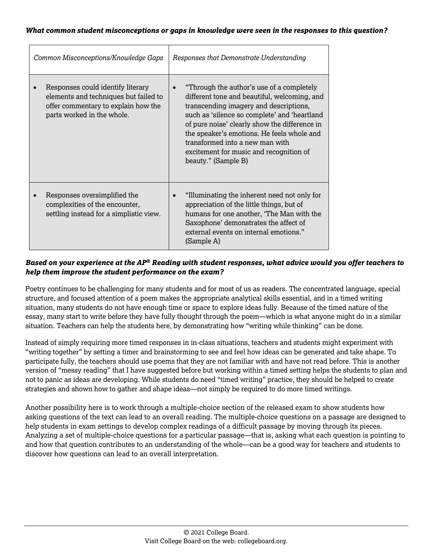#### *What common student misconceptions or gaps in knowledge were seen in the responses to this question?*

| Common Misconceptions/Knowledge Gaps |                                                                                                                                                 | Responses that Demonstrate Understanding                                                                                                                                                                                                                                                                                                                                                |  |  |
|--------------------------------------|-------------------------------------------------------------------------------------------------------------------------------------------------|-----------------------------------------------------------------------------------------------------------------------------------------------------------------------------------------------------------------------------------------------------------------------------------------------------------------------------------------------------------------------------------------|--|--|
|                                      | Responses could identify literary<br>elements and techniques but failed to<br>offer commentary to explain how the<br>parts worked in the whole. | "Through the author's use of a completely<br>different tone and beautiful, welcoming, and<br>transcending imagery and descriptions,<br>such as 'silence so complete' and 'heartland<br>of pure noise' clearly show the difference in<br>the speaker's emotions. He feels whole and<br>transformed into a new man with<br>excitement for music and recognition of<br>beauty." (Sample B) |  |  |
|                                      | Responses oversimplified the<br>complexities of the encounter,<br>settling instead for a simplistic view.                                       | "Illuminating the inherent need not only for<br>appreciation of the little things, but of<br>humans for one another, 'The Man with the<br>Saxophone' demonstrates the affect of<br>external events on internal emotions."<br>(Sample A)                                                                                                                                                 |  |  |

## *Based on your experience at the AP® Reading with student responses, what advice would you offer teachers to help them improve the student performance on the exam?*

Poetry continues to be challenging for many students and for most of us as readers. The concentrated language, special structure, and focused attention of a poem makes the appropriate analytical skills essential, and in a timed writing situation, many students do not have enough time or space to explore ideas fully. Because of the timed nature of the essay, many start to write before they have fully thought through the poem—which is what anyone might do in a similar situation. Teachers can help the students here, by demonstrating how "writing while thinking" can be done.

Instead of simply requiring more timed responses in in-class situations, teachers and students might experiment with "writing together" by setting a timer and brainstorming to see and feel how ideas can be generated and take shape. To participate fully, the teachers should use poems that they are not familiar with and have not read before. This is another version of "messy reading" that I have suggested before but working within a timed setting helps the students to plan and not to panic as ideas are developing. While students do need "timed writing" practice, they should be helped to create strategies and shown how to gather and shape ideas—not simply be required to do more timed writings.

Another possibility here is to work through a multiple-choice section of the released exam to show students how asking questions of the text can lead to an overall reading. The multiple-choice questions on a passage are designed to help students in exam settings to develop complex readings of a difficult passage by moving through its pieces. Analyzing a set of multiple-choice questions for a particular passage—that is, asking what each question is pointing to and how that question contributes to an understanding of the whole—can be a good way for teachers and students to discover how questions can lead to an overall interpretation.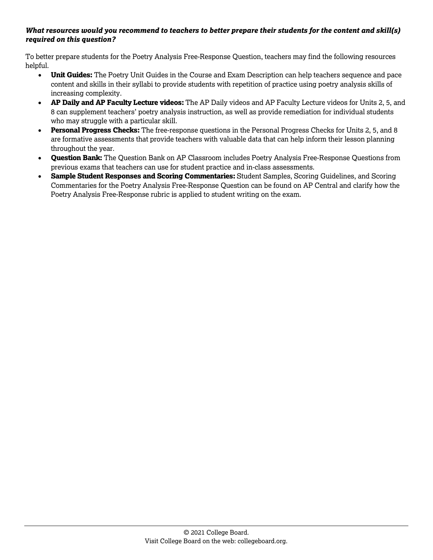#### *What resources would you recommend to teachers to better prepare their students for the content and skill(s) required on this question?*

To better prepare students for the Poetry Analysis Free-Response Question, teachers may find the following resources helpful.

- **Unit Guides:** The Poetry Unit Guides in the Course and Exam Description can help teachers sequence and pace content and skills in their syllabi to provide students with repetition of practice using poetry analysis skills of increasing complexity.
- **AP Daily and AP Faculty Lecture videos:** The AP Daily videos and AP Faculty Lecture videos for Units 2, 5, and 8 can supplement teachers' poetry analysis instruction, as well as provide remediation for individual students who may struggle with a particular skill.
- **Personal Progress Checks:** The free-response questions in the Personal Progress Checks for Units 2, 5, and 8 are formative assessments that provide teachers with valuable data that can help inform their lesson planning throughout the year.
- **Question Bank:** The Question Bank on AP Classroom includes Poetry Analysis Free-Response Questions from previous exams that teachers can use for student practice and in-class assessments.
- **Sample Student Responses and Scoring Commentaries:** Student Samples, Scoring Guidelines, and Scoring Commentaries for the Poetry Analysis Free-Response Question can be found on AP Central and clarify how the Poetry Analysis Free-Response rubric is applied to student writing on the exam.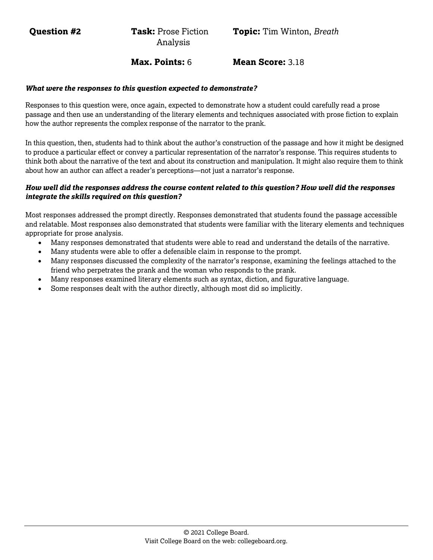**Question #2 Task:** Prose Fiction Analysis

**Max. Points:** 6 **Mean Score:** 3.18

#### *What were the responses to this question expected to demonstrate?*

Responses to this question were, once again, expected to demonstrate how a student could carefully read a prose passage and then use an understanding of the literary elements and techniques associated with prose fiction to explain how the author represents the complex response of the narrator to the prank.

In this question, then, students had to think about the author's construction of the passage and how it might be designed to produce a particular effect or convey a particular representation of the narrator's response. This requires students to think both about the narrative of the text and about its construction and manipulation. It might also require them to think about how an author can affect a reader's perceptions—not just a narrator's response.

#### *How well did the responses address the course content related to this question? How well did the responses integrate the skills required on this question?*

Most responses addressed the prompt directly. Responses demonstrated that students found the passage accessible and relatable. Most responses also demonstrated that students were familiar with the literary elements and techniques appropriate for prose analysis.

- Many responses demonstrated that students were able to read and understand the details of the narrative.
- Many students were able to offer a defensible claim in response to the prompt.
- Many responses discussed the complexity of the narrator's response, examining the feelings attached to the friend who perpetrates the prank and the woman who responds to the prank.
- Many responses examined literary elements such as syntax, diction, and figurative language.
- Some responses dealt with the author directly, although most did so implicitly.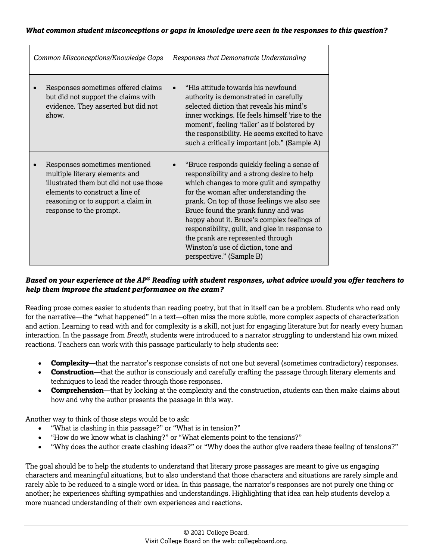| Common Misconceptions/Knowledge Gaps                                                                                                                                                                          | Responses that Demonstrate Understanding                                                                                                                                                                                                                                                                                                                                                                                                                                    |  |
|---------------------------------------------------------------------------------------------------------------------------------------------------------------------------------------------------------------|-----------------------------------------------------------------------------------------------------------------------------------------------------------------------------------------------------------------------------------------------------------------------------------------------------------------------------------------------------------------------------------------------------------------------------------------------------------------------------|--|
| Responses sometimes offered claims<br>but did not support the claims with<br>evidence. They asserted but did not<br>show.                                                                                     | "His attitude towards his newfound<br>authority is demonstrated in carefully<br>selected diction that reveals his mind's<br>inner workings. He feels himself 'rise to the<br>moment', feeling 'taller' as if bolstered by<br>the responsibility. He seems excited to have<br>such a critically important job." (Sample A)                                                                                                                                                   |  |
| Responses sometimes mentioned<br>multiple literary elements and<br>illustrated them but did not use those<br>elements to construct a line of<br>reasoning or to support a claim in<br>response to the prompt. | "Bruce responds quickly feeling a sense of<br>responsibility and a strong desire to help<br>which changes to more guilt and sympathy<br>for the woman after understanding the<br>prank. On top of those feelings we also see<br>Bruce found the prank funny and was<br>happy about it. Bruce's complex feelings of<br>responsibility, guilt, and glee in response to<br>the prank are represented through<br>Winston's use of diction, tone and<br>perspective." (Sample B) |  |

## *Based on your experience at the AP® Reading with student responses, what advice would you offer teachers to help them improve the student performance on the exam?*

Reading prose comes easier to students than reading poetry, but that in itself can be a problem. Students who read only for the narrative—the "what happened" in a text—often miss the more subtle, more complex aspects of characterization and action. Learning to read with and for complexity is a skill, not just for engaging literature but for nearly every human interaction. In the passage from *Breath*, students were introduced to a narrator struggling to understand his own mixed reactions. Teachers can work with this passage particularly to help students see:

- **Complexity**—that the narrator's response consists of not one but several (sometimes contradictory) responses.
- **Construction**—that the author is consciously and carefully crafting the passage through literary elements and techniques to lead the reader through those responses.
- **Comprehension**—that by looking at the complexity and the construction, students can then make claims about how and why the author presents the passage in this way.

Another way to think of those steps would be to ask:

- "What is clashing in this passage?" or "What is in tension?"
- "How do we know what is clashing?" or "What elements point to the tensions?"
- "Why does the author create clashing ideas?" or "Why does the author give readers these feeling of tensions?"

The goal should be to help the students to understand that literary prose passages are meant to give us engaging characters and meaningful situations, but to also understand that those characters and situations are rarely simple and rarely able to be reduced to a single word or idea. In this passage, the narrator's responses are not purely one thing or another; he experiences shifting sympathies and understandings. Highlighting that idea can help students develop a more nuanced understanding of their own experiences and reactions.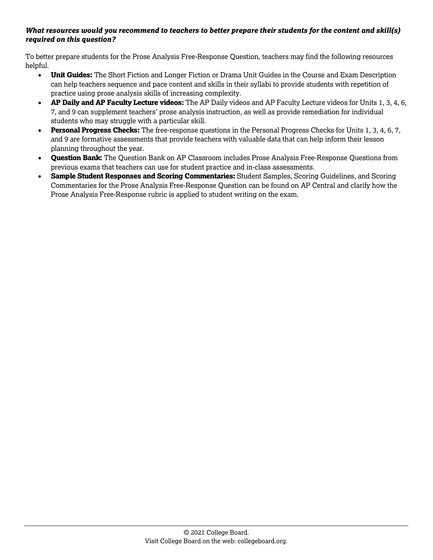#### *What resources would you recommend to teachers to better prepare their students for the content and skill(s) required on this question?*

To better prepare students for the Prose Analysis Free-Response Question, teachers may find the following resources helpful.

- **Unit Guides:** The Short Fiction and Longer Fiction or Drama Unit Guides in the Course and Exam Description can help teachers sequence and pace content and skills in their syllabi to provide students with repetition of practice using prose analysis skills of increasing complexity.
- **AP Daily and AP Faculty Lecture videos:** The AP Daily videos and AP Faculty Lecture videos for Units 1, 3, 4, 6, 7, and 9 can supplement teachers' prose analysis instruction, as well as provide remediation for individual students who may struggle with a particular skill.
- **Personal Progress Checks:** The free-response questions in the Personal Progress Checks for Units 1, 3, 4, 6, 7, and 9 are formative assessments that provide teachers with valuable data that can help inform their lesson planning throughout the year.
- **Question Bank:** The Question Bank on AP Classroom includes Prose Analysis Free-Response Questions from previous exams that teachers can use for student practice and in-class assessments.
- **Sample Student Responses and Scoring Commentaries:** Student Samples, Scoring Guidelines, and Scoring Commentaries for the Prose Analysis Free-Response Question can be found on AP Central and clarify how the Prose Analysis Free-Response rubric is applied to student writing on the exam.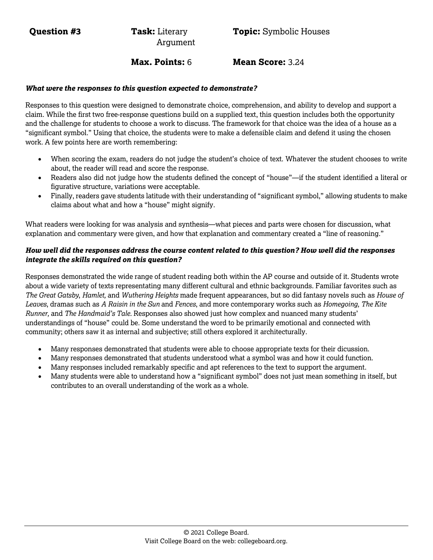Argument

**Max. Points:** 6 **Mean Score:** 3.24

#### *What were the responses to this question expected to demonstrate?*

Responses to this question were designed to demonstrate choice, comprehension, and ability to develop and support a claim. While the first two free-response questions build on a supplied text, this question includes both the opportunity and the challenge for students to choose a work to discuss. The framework for that choice was the idea of a house as a "significant symbol." Using that choice, the students were to make a defensible claim and defend it using the chosen work. A few points here are worth remembering:

- When scoring the exam, readers do not judge the student's choice of text. Whatever the student chooses to write about, the reader will read and score the response.
- Readers also did not judge how the students defined the concept of "house"—if the student identified a literal or figurative structure, variations were acceptable.
- Finally, readers gave students latitude with their understanding of "significant symbol," allowing students to make claims about what and how a "house" might signify.

What readers were looking for was analysis and synthesis—what pieces and parts were chosen for discussion, what explanation and commentary were given, and how that explanation and commentary created a "line of reasoning."

#### *How well did the responses address the course content related to this question? How well did the responses integrate the skills required on this question?*

Responses demonstrated the wide range of student reading both within the AP course and outside of it. Students wrote about a wide variety of texts representating many different cultural and ethnic backgrounds. Familiar favorites such as *The Great Gatsby*, *Hamlet,* and *Wuthering Heights* made frequent appearances, but so did fantasy novels such as *House of Leaves*, dramas such as *A Raisin in the Sun* and *Fences*, and more contemporary works such as *Homegoing, The Kite Runner,* and *The Handmaid's Tale.* Responses also showed just how complex and nuanced many students' understandings of "house" could be. Some understand the word to be primarily emotional and connected with community; others saw it as internal and subjective; still others explored it architecturally.

- Many responses demonstrated that students were able to choose appropriate texts for their dicussion.
- Many responses demonstrated that students understood what a symbol was and how it could function.
- Many responses included remarkably specific and apt references to the text to support the argument.
- Many students were able to understand how a "significant symbol" does not just mean something in itself, but contributes to an overall understanding of the work as a whole.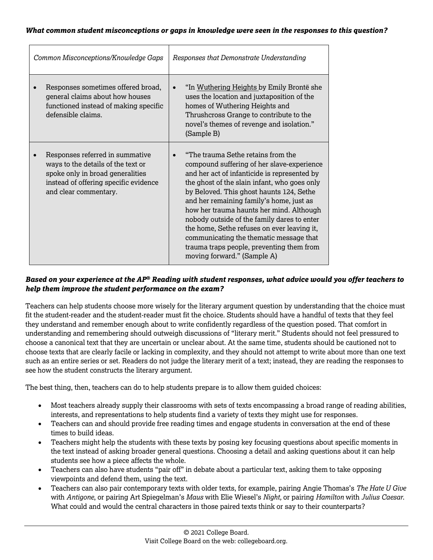| Common Misconceptions/Knowledge Gaps                                                                                                                                        | Responses that Demonstrate Understanding                                                                                                                                                                                                                                                                                                                                                                                                                                                                                                  |
|-----------------------------------------------------------------------------------------------------------------------------------------------------------------------------|-------------------------------------------------------------------------------------------------------------------------------------------------------------------------------------------------------------------------------------------------------------------------------------------------------------------------------------------------------------------------------------------------------------------------------------------------------------------------------------------------------------------------------------------|
| Responses sometimes offered broad,<br>general claims about how houses<br>functioned instead of making specific<br>defensible claims.                                        | "In Wuthering Heights by Emily Brontë she<br>uses the location and juxtaposition of the<br>homes of Wuthering Heights and<br>Thrushcross Grange to contribute to the<br>novel's themes of revenge and isolation."<br>(Sample B)                                                                                                                                                                                                                                                                                                           |
| Responses referred in summative<br>ways to the details of the text or<br>spoke only in broad generalities<br>instead of offering specific evidence<br>and clear commentary. | "The trauma Sethe retains from the<br>compound suffering of her slave-experience<br>and her act of infanticide is represented by<br>the ghost of the slain infant, who goes only<br>by Beloved. This ghost haunts 124, Sethe<br>and her remaining family's home, just as<br>how her trauma haunts her mind. Although<br>nobody outside of the family dares to enter<br>the home, Sethe refuses on ever leaving it,<br>communicating the thematic message that<br>trauma traps people, preventing them from<br>moving forward." (Sample A) |

## *Based on your experience at the AP® Reading with student responses, what advice would you offer teachers to help them improve the student performance on the exam?*

Teachers can help students choose more wisely for the literary argument question by understanding that the choice must fit the student-reader and the student-reader must fit the choice. Students should have a handful of texts that they feel they understand and remember enough about to write confidently regardless of the question posed. That comfort in understanding and remembering should outweigh discussions of "literary merit." Students should not feel pressured to choose a canonical text that they are uncertain or unclear about. At the same time, students should be cautioned not to choose texts that are clearly facile or lacking in complexity, and they should not attempt to write about more than one text such as an entire series or set. Readers do not judge the literary merit of a text; instead, they are reading the responses to see how the student constructs the literary argument.

The best thing, then, teachers can do to help students prepare is to allow them guided choices:

- Most teachers already supply their classrooms with sets of texts encompassing a broad range of reading abilities, interests, and representations to help students find a variety of texts they might use for responses.
- Teachers can and should provide free reading times and engage students in conversation at the end of these times to build ideas.
- Teachers might help the students with these texts by posing key focusing questions about specific moments in the text instead of asking broader general questions. Choosing a detail and asking questions about it can help students see how a piece affects the whole.
- Teachers can also have students "pair off" in debate about a particular text, asking them to take opposing viewpoints and defend them, using the text.
- Teachers can also pair contemporary texts with older texts, for example, pairing Angie Thomas's *The Hate U Give*  with *Antigone*, or pairing Art Spiegelman's *Maus* with Elie Wiesel's *Night,* or pairing *Hamilton* with *Julius Caesar*. What could and would the central characters in those paired texts think or say to their counterparts?